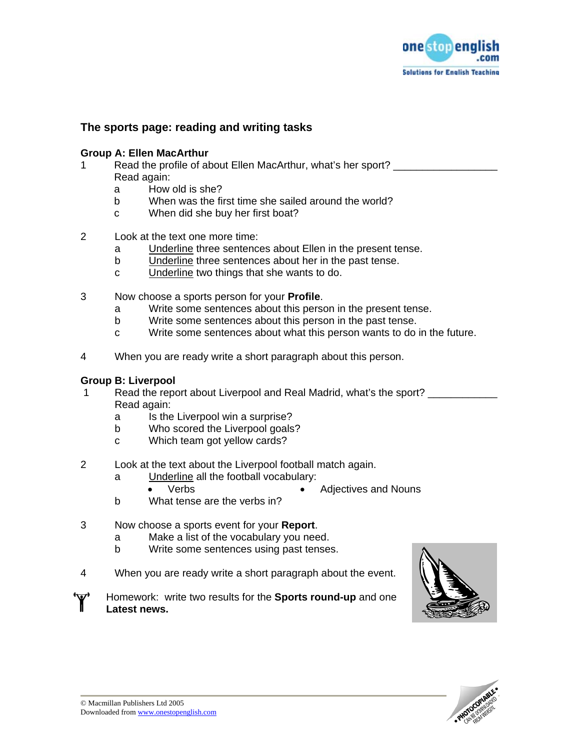

## **The sports page: reading and writing tasks**

### **Group A: Ellen MacArthur**

- 1 Read the profile of about Ellen MacArthur, what's her sport? Read again:
	- a How old is she?
	- b When was the first time she sailed around the world?
	- c When did she buy her first boat?
- 2 Look at the text one more time:
	- a Underline three sentences about Ellen in the present tense.
	- b Underline three sentences about her in the past tense.
	- c Underline two things that she wants to do.
- 3 Now choose a sports person for your **Profile**.
	- a Write some sentences about this person in the present tense.
	- b Write some sentences about this person in the past tense.
	- c Write some sentences about what this person wants to do in the future.
- 4 When you are ready write a short paragraph about this person.

## **Group B: Liverpool**

- 1 Read the report about Liverpool and Real Madrid, what's the sport? Read again:
	- a Is the Liverpool win a surprise?
	- b Who scored the Liverpool goals?
	- c Which team got yellow cards?
- 2 Look at the text about the Liverpool football match again.
	- a Underline all the football vocabulary:
		- Verbs Adjectives and Nouns
	- b What tense are the verbs in?
- 3 Now choose a sports event for your **Report**.
	- a Make a list of the vocabulary you need.
	- b Write some sentences using past tenses.
- 4 When you are ready write a short paragraph about the event.
- Homework: write two results for the **Sports round-up** and one **Latest news.**